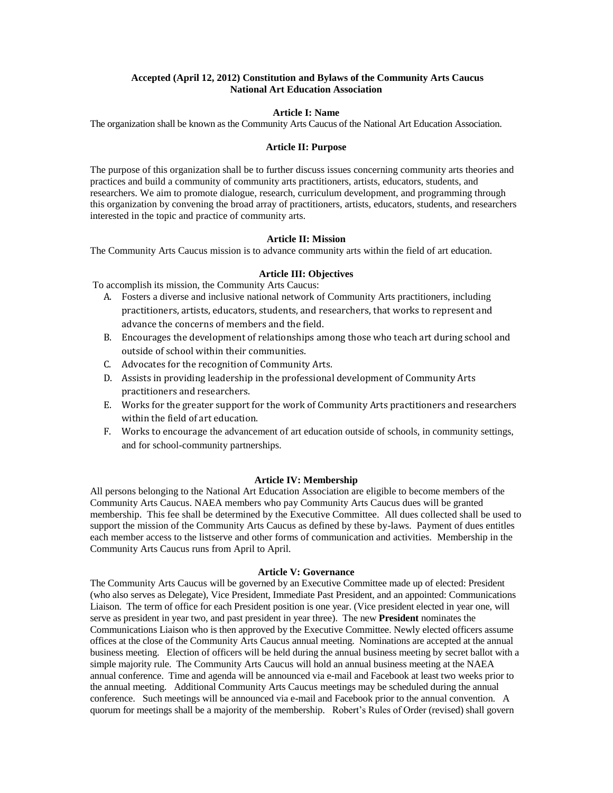## **Accepted (April 12, 2012) Constitution and Bylaws of the Community Arts Caucus National Art Education Association**

### **Article I: Name**

The organization shall be known as the Community Arts Caucus of the National Art Education Association.

### **Article II: Purpose**

The purpose of this organization shall be to further discuss issues concerning community arts theories and practices and build a community of community arts practitioners, artists, educators, students, and researchers. We aim to promote dialogue, research, curriculum development, and programming through this organization by convening the broad array of practitioners, artists, educators, students, and researchers interested in the topic and practice of community arts.

# **Article II: Mission**

The Community Arts Caucus mission is to advance community arts within the field of art education.

#### **Article III: Objectives**

To accomplish its mission, the Community Arts Caucus:

- A. Fosters a diverse and inclusive national network of Community Arts practitioners, including practitioners, artists, educators, students, and researchers, that works to represent and advance the concerns of members and the field.
- B. Encourages the development of relationships among those who teach art during school and outside of school within their communities.
- C. Advocates for the recognition of Community Arts.
- D. Assists in providing leadership in the professional development of Community Arts practitioners and researchers.
- E. Works for the greater support for the work of Community Arts practitioners and researchers within the field of art education.
- F. Works to encourage the advancement of art education outside of schools, in community settings, and for school-community partnerships.

## **Article IV: Membership**

All persons belonging to the National Art Education Association are eligible to become members of the Community Arts Caucus. NAEA members who pay Community Arts Caucus dues will be granted membership. This fee shall be determined by the Executive Committee. All dues collected shall be used to support the mission of the Community Arts Caucus as defined by these by-laws. Payment of dues entitles each member access to the listserve and other forms of communication and activities. Membership in the Community Arts Caucus runs from April to April.

### **Article V: Governance**

The Community Arts Caucus will be governed by an Executive Committee made up of elected: President (who also serves as Delegate), Vice President, Immediate Past President, and an appointed: Communications Liaison. The term of office for each President position is one year. (Vice president elected in year one, will serve as president in year two, and past president in year three). The new **President** nominates the Communications Liaison who is then approved by the Executive Committee. Newly elected officers assume offices at the close of the Community Arts Caucus annual meeting. Nominations are accepted at the annual business meeting. Election of officers will be held during the annual business meeting by secret ballot with a simple majority rule. The Community Arts Caucus will hold an annual business meeting at the NAEA annual conference. Time and agenda will be announced via e-mail and Facebook at least two weeks prior to the annual meeting. Additional Community Arts Caucus meetings may be scheduled during the annual conference. Such meetings will be announced via e-mail and Facebook prior to the annual convention. A quorum for meetings shall be a majority of the membership. Robert's Rules of Order (revised) shall govern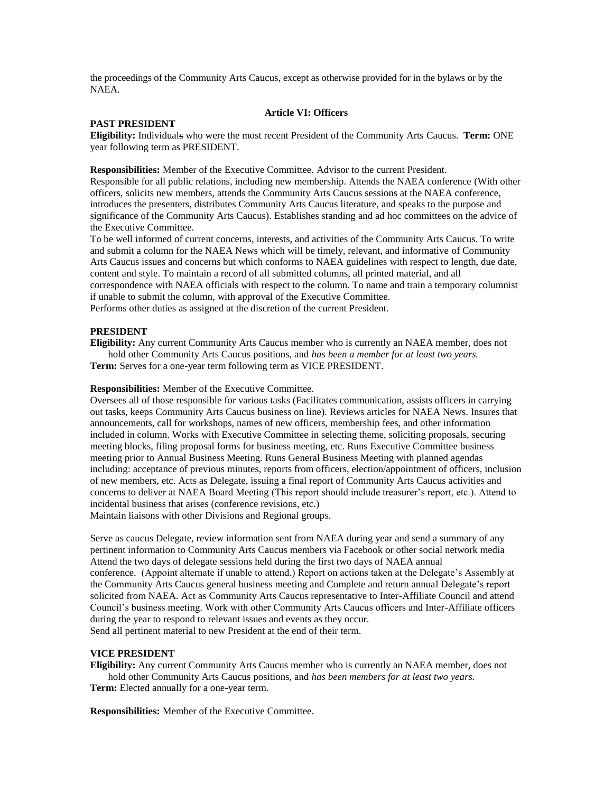the proceedings of the Community Arts Caucus, except as otherwise provided for in the bylaws or by the NAEA.

## **Article VI: Officers**

## **PAST PRESIDENT**

**Eligibility:** Individuals who were the most recent President of the Community Arts Caucus. **Term:** ONE year following term as PRESIDENT.

**Responsibilities:** Member of the Executive Committee. Advisor to the current President. Responsible for all public relations, including new membership. Attends the NAEA conference (With other officers, solicits new members, attends the Community Arts Caucus sessions at the NAEA conference, introduces the presenters, distributes Community Arts Caucus literature, and speaks to the purpose and significance of the Community Arts Caucus). Establishes standing and ad hoc committees on the advice of the Executive Committee.

To be well informed of current concerns, interests, and activities of the Community Arts Caucus. To write and submit a column for the NAEA News which will be timely, relevant, and informative of Community Arts Caucus issues and concerns but which conforms to NAEA guidelines with respect to length, due date, content and style. To maintain a record of all submitted columns, all printed material, and all correspondence with NAEA officials with respect to the column. To name and train a temporary columnist if unable to submit the column, with approval of the Executive Committee. Performs other duties as assigned at the discretion of the current President.

# **PRESIDENT**

**Eligibility:** Any current Community Arts Caucus member who is currently an NAEA member, does not hold other Community Arts Caucus positions, and *has been a member for at least two years.* **Term:** Serves for a one-year term following term as VICE PRESIDENT.

#### **Responsibilities:** Member of the Executive Committee.

Oversees all of those responsible for various tasks (Facilitates communication, assists officers in carrying out tasks, keeps Community Arts Caucus business on line). Reviews articles for NAEA News. Insures that announcements, call for workshops, names of new officers, membership fees, and other information included in column. Works with Executive Committee in selecting theme, soliciting proposals, securing meeting blocks, filing proposal forms for business meeting, etc. Runs Executive Committee business meeting prior to Annual Business Meeting. Runs General Business Meeting with planned agendas including: acceptance of previous minutes, reports from officers, election/appointment of officers, inclusion of new members, etc. Acts as Delegate, issuing a final report of Community Arts Caucus activities and concerns to deliver at NAEA Board Meeting (This report should include treasurer's report, etc.). Attend to incidental business that arises (conference revisions, etc.)

Maintain liaisons with other Divisions and Regional groups.

Serve as caucus Delegate, review information sent from NAEA during year and send a summary of any pertinent information to Community Arts Caucus members via Facebook or other social network media Attend the two days of delegate sessions held during the first two days of NAEA annual conference. (Appoint alternate if unable to attend.) Report on actions taken at the Delegate's Assembly at the Community Arts Caucus general business meeting and Complete and return annual Delegate's report solicited from NAEA. Act as Community Arts Caucus representative to Inter-Affiliate Council and attend Council's business meeting. Work with other Community Arts Caucus officers and Inter-Affiliate officers during the year to respond to relevant issues and events as they occur. Send all pertinent material to new President at the end of their term.

#### **VICE PRESIDENT**

**Eligibility:** Any current Community Arts Caucus member who is currently an NAEA member, does not hold other Community Arts Caucus positions, and *has been members for at least two years.*

**Term:** Elected annually for a one-year term.

**Responsibilities:** Member of the Executive Committee.